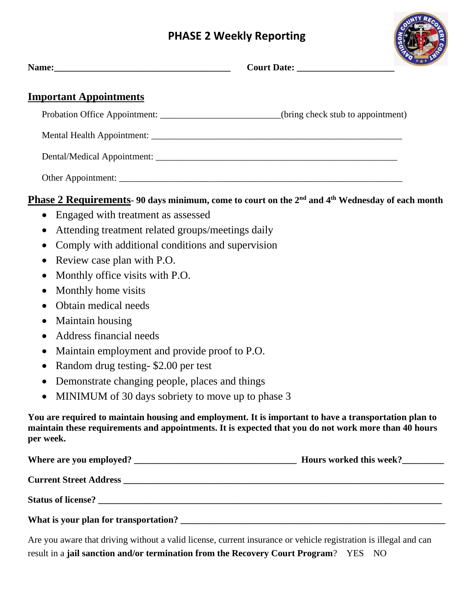## **PHASE 2 Weekly Reporting**



| <b>Important Appointments</b>        |                                                                                                                             |
|--------------------------------------|-----------------------------------------------------------------------------------------------------------------------------|
|                                      | Probation Office Appointment: ________________________(bring check stub to appointment)                                     |
|                                      |                                                                                                                             |
|                                      |                                                                                                                             |
|                                      |                                                                                                                             |
|                                      | <b>Phase 2 Requirements-90 days minimum, come to court on the 2<sup>nd</sup> and 4<sup>th</sup> Wednesday of each month</b> |
| • Engaged with treatment as assessed |                                                                                                                             |

- Attending treatment related groups/meetings daily
- Comply with additional conditions and supervision
- Review case plan with P.O.
- Monthly office visits with P.O.
- Monthly home visits
- Obtain medical needs
- Maintain housing
- Address financial needs
- Maintain employment and provide proof to P.O.
- Random drug testing- \$2.00 per test
- Demonstrate changing people, places and things
- MINIMUM of 30 days sobriety to move up to phase 3

**You are required to maintain housing and employment. It is important to have a transportation plan to maintain these requirements and appointments. It is expected that you do not work more than 40 hours per week.** 

| Where are you employed?               | Hours worked this week? |
|---------------------------------------|-------------------------|
|                                       |                         |
| Status of license?                    |                         |
| What is your plan for transportation? |                         |

Are you aware that driving without a valid license, current insurance or vehicle registration is illegal and can result in a **jail sanction and/or termination from the Recovery Court Program**? YES NO